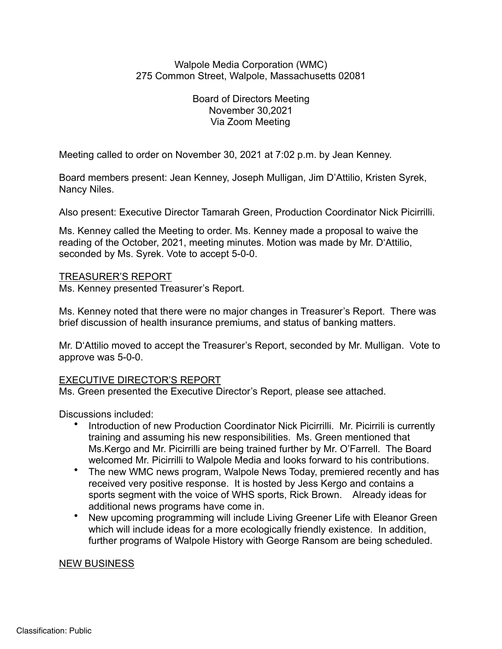## Walpole Media Corporation (WMC) 275 Common Street, Walpole, Massachusetts 02081

Board of Directors Meeting November 30,2021 Via Zoom Meeting

Meeting called to order on November 30, 2021 at 7:02 p.m. by Jean Kenney.

Board members present: Jean Kenney, Joseph Mulligan, Jim D'Attilio, Kristen Syrek, Nancy Niles.

Also present: Executive Director Tamarah Green, Production Coordinator Nick Picirrilli.

Ms. Kenney called the Meeting to order. Ms. Kenney made a proposal to waive the reading of the October, 2021, meeting minutes. Motion was made by Mr. D'Attilio, seconded by Ms. Syrek. Vote to accept 5-0-0.

#### TREASURER'S REPORT

Ms. Kenney presented Treasurer's Report.

Ms. Kenney noted that there were no major changes in Treasurer's Report. There was brief discussion of health insurance premiums, and status of banking matters.

Mr. D'Attilio moved to accept the Treasurer's Report, seconded by Mr. Mulligan. Vote to approve was 5-0-0.

## EXECUTIVE DIRECTOR'S REPORT

Ms. Green presented the Executive Director's Report, please see attached.

Discussions included:

- Introduction of new Production Coordinator Nick Picirrilli. Mr. Picirrili is currently training and assuming his new responsibilities. Ms. Green mentioned that Ms.Kergo and Mr. Picirrilli are being trained further by Mr. O'Farrell. The Board welcomed Mr. Picirrilli to Walpole Media and looks forward to his contributions.
- The new WMC news program, Walpole News Today, premiered recently and has received very positive response. It is hosted by Jess Kergo and contains a sports segment with the voice of WHS sports, Rick Brown. Already ideas for additional news programs have come in.
- New upcoming programming will include Living Greener Life with Eleanor Green which will include ideas for a more ecologically friendly existence. In addition, further programs of Walpole History with George Ransom are being scheduled.

#### NEW BUSINESS